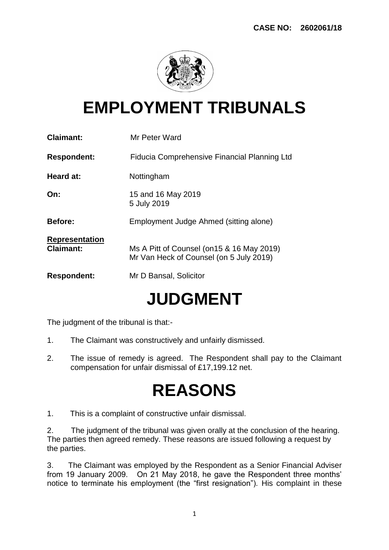

### **EMPLOYMENT TRIBUNALS**

| <b>Claimant:</b>                          | Mr Peter Ward                                                                         |
|-------------------------------------------|---------------------------------------------------------------------------------------|
| <b>Respondent:</b>                        | Fiducia Comprehensive Financial Planning Ltd                                          |
| <b>Heard at:</b>                          | Nottingham                                                                            |
| On:                                       | 15 and 16 May 2019<br>5 July 2019                                                     |
| <b>Before:</b>                            | Employment Judge Ahmed (sitting alone)                                                |
| <b>Representation</b><br><b>Claimant:</b> | Ms A Pitt of Counsel (on 15 & 16 May 2019)<br>Mr Van Heck of Counsel (on 5 July 2019) |
| <b>Respondent:</b>                        | Mr D Bansal, Solicitor                                                                |
|                                           |                                                                                       |

# **JUDGMENT**

The judgment of the tribunal is that:-

- 1. The Claimant was constructively and unfairly dismissed.
- 2. The issue of remedy is agreed. The Respondent shall pay to the Claimant compensation for unfair dismissal of £17,199.12 net.

## **REASONS**

1. This is a complaint of constructive unfair dismissal.

2. The judgment of the tribunal was given orally at the conclusion of the hearing. The parties then agreed remedy. These reasons are issued following a request by the parties.

3. The Claimant was employed by the Respondent as a Senior Financial Adviser from 19 January 2009. On 21 May 2018, he gave the Respondent three months' notice to terminate his employment (the "first resignation"). His complaint in these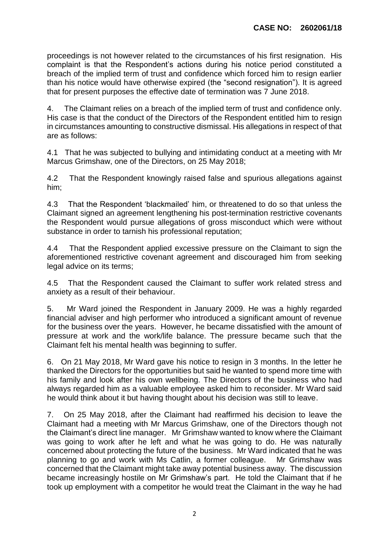proceedings is not however related to the circumstances of his first resignation. His complaint is that the Respondent's actions during his notice period constituted a breach of the implied term of trust and confidence which forced him to resign earlier than his notice would have otherwise expired (the "second resignation"). It is agreed that for present purposes the effective date of termination was 7 June 2018.

4. The Claimant relies on a breach of the implied term of trust and confidence only. His case is that the conduct of the Directors of the Respondent entitled him to resign in circumstances amounting to constructive dismissal. His allegations in respect of that are as follows:

4.1 That he was subjected to bullying and intimidating conduct at a meeting with Mr Marcus Grimshaw, one of the Directors, on 25 May 2018;

4.2 That the Respondent knowingly raised false and spurious allegations against him;

4.3 That the Respondent 'blackmailed' him, or threatened to do so that unless the Claimant signed an agreement lengthening his post-termination restrictive covenants the Respondent would pursue allegations of gross misconduct which were without substance in order to tarnish his professional reputation;

4.4 That the Respondent applied excessive pressure on the Claimant to sign the aforementioned restrictive covenant agreement and discouraged him from seeking legal advice on its terms;

4.5 That the Respondent caused the Claimant to suffer work related stress and anxiety as a result of their behaviour.

5. Mr Ward joined the Respondent in January 2009. He was a highly regarded financial adviser and high performer who introduced a significant amount of revenue for the business over the years. However, he became dissatisfied with the amount of pressure at work and the work/life balance. The pressure became such that the Claimant felt his mental health was beginning to suffer.

6. On 21 May 2018, Mr Ward gave his notice to resign in 3 months. In the letter he thanked the Directors for the opportunities but said he wanted to spend more time with his family and look after his own wellbeing. The Directors of the business who had always regarded him as a valuable employee asked him to reconsider. Mr Ward said he would think about it but having thought about his decision was still to leave.

7. On 25 May 2018, after the Claimant had reaffirmed his decision to leave the Claimant had a meeting with Mr Marcus Grimshaw, one of the Directors though not the Claimant's direct line manager. Mr Grimshaw wanted to know where the Claimant was going to work after he left and what he was going to do. He was naturally concerned about protecting the future of the business. Mr Ward indicated that he was planning to go and work with Ms Catlin, a former colleague. Mr Grimshaw was concerned that the Claimant might take away potential business away. The discussion became increasingly hostile on Mr Grimshaw's part. He told the Claimant that if he took up employment with a competitor he would treat the Claimant in the way he had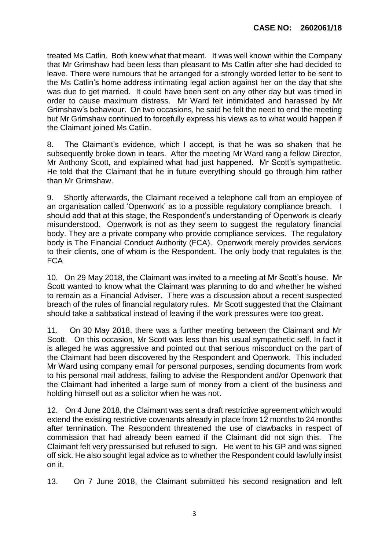treated Ms Catlin. Both knew what that meant. It was well known within the Company that Mr Grimshaw had been less than pleasant to Ms Catlin after she had decided to leave. There were rumours that he arranged for a strongly worded letter to be sent to the Ms Catlin's home address intimating legal action against her on the day that she was due to get married. It could have been sent on any other day but was timed in order to cause maximum distress. Mr Ward felt intimidated and harassed by Mr Grimshaw's behaviour. On two occasions, he said he felt the need to end the meeting but Mr Grimshaw continued to forcefully express his views as to what would happen if the Claimant joined Ms Catlin.

8. The Claimant's evidence, which I accept, is that he was so shaken that he subsequently broke down in tears. After the meeting Mr Ward rang a fellow Director, Mr Anthony Scott, and explained what had just happened. Mr Scott's sympathetic. He told that the Claimant that he in future everything should go through him rather than Mr Grimshaw.

9. Shortly afterwards, the Claimant received a telephone call from an employee of an organisation called 'Openwork' as to a possible regulatory compliance breach. I should add that at this stage, the Respondent's understanding of Openwork is clearly misunderstood. Openwork is not as they seem to suggest the regulatory financial body. They are a private company who provide compliance services. The regulatory body is The Financial Conduct Authority (FCA). Openwork merely provides services to their clients, one of whom is the Respondent. The only body that regulates is the **FCA** 

10. On 29 May 2018, the Claimant was invited to a meeting at Mr Scott's house. Mr Scott wanted to know what the Claimant was planning to do and whether he wished to remain as a Financial Adviser. There was a discussion about a recent suspected breach of the rules of financial regulatory rules. Mr Scott suggested that the Claimant should take a sabbatical instead of leaving if the work pressures were too great.

11. On 30 May 2018, there was a further meeting between the Claimant and Mr Scott. On this occasion, Mr Scott was less than his usual sympathetic self. In fact it is alleged he was aggressive and pointed out that serious misconduct on the part of the Claimant had been discovered by the Respondent and Openwork. This included Mr Ward using company email for personal purposes, sending documents from work to his personal mail address, failing to advise the Respondent and/or Openwork that the Claimant had inherited a large sum of money from a client of the business and holding himself out as a solicitor when he was not.

12. On 4 June 2018, the Claimant was sent a draft restrictive agreement which would extend the existing restrictive covenants already in place from 12 months to 24 months after termination. The Respondent threatened the use of clawbacks in respect of commission that had already been earned if the Claimant did not sign this. The Claimant felt very pressurised but refused to sign. He went to his GP and was signed off sick. He also sought legal advice as to whether the Respondent could lawfully insist on it.

13. On 7 June 2018, the Claimant submitted his second resignation and left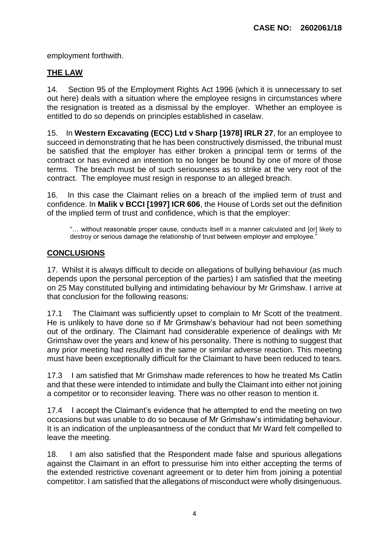employment forthwith.

### **THE LAW**

14. Section 95 of the Employment Rights Act 1996 (which it is unnecessary to set out here) deals with a situation where the employee resigns in circumstances where the resignation is treated as a dismissal by the employer. Whether an employee is entitled to do so depends on principles established in caselaw.

15. In **Western Excavating (ECC) Ltd v Sharp [1978] IRLR 27**, for an employee to succeed in demonstrating that he has been constructively dismissed, the tribunal must be satisfied that the employer has either broken a principal term or terms of the contract or has evinced an intention to no longer be bound by one of more of those terms. The breach must be of such seriousness as to strike at the very root of the contract. The employee must resign in response to an alleged breach.

16. In this case the Claimant relies on a breach of the implied term of trust and confidence. In **Malik v BCCI [1997] ICR 606**, the House of Lords set out the definition of the implied term of trust and confidence, which is that the employer:

"… without reasonable proper cause, conducts itself in a manner calculated and [or] likely to destroy or serious damage the relationship of trust between employer and employee."

#### **CONCLUSIONS**

17. Whilst it is always difficult to decide on allegations of bullying behaviour (as much depends upon the personal perception of the parties) I am satisfied that the meeting on 25 May constituted bullying and intimidating behaviour by Mr Grimshaw. I arrive at that conclusion for the following reasons:

17.1 The Claimant was sufficiently upset to complain to Mr Scott of the treatment. He is unlikely to have done so if Mr Grimshaw's behaviour had not been something out of the ordinary. The Claimant had considerable experience of dealings with Mr Grimshaw over the years and knew of his personality. There is nothing to suggest that any prior meeting had resulted in the same or similar adverse reaction. This meeting must have been exceptionally difficult for the Claimant to have been reduced to tears.

17.3 I am satisfied that Mr Grimshaw made references to how he treated Ms Catlin and that these were intended to intimidate and bully the Claimant into either not joining a competitor or to reconsider leaving. There was no other reason to mention it.

17.4 I accept the Claimant's evidence that he attempted to end the meeting on two occasions but was unable to do so because of Mr Grimshaw's intimidating behaviour. It is an indication of the unpleasantness of the conduct that Mr Ward felt compelled to leave the meeting.

18. I am also satisfied that the Respondent made false and spurious allegations against the Claimant in an effort to pressurise him into either accepting the terms of the extended restrictive covenant agreement or to deter him from joining a potential competitor. I am satisfied that the allegations of misconduct were wholly disingenuous.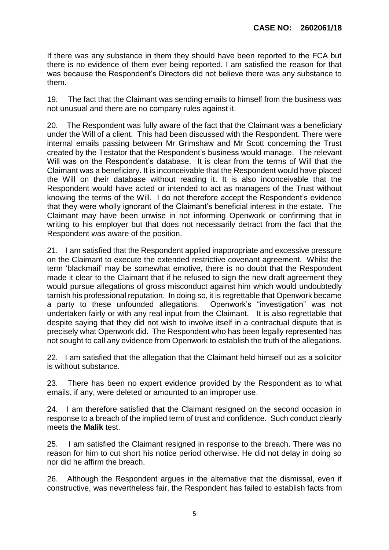If there was any substance in them they should have been reported to the FCA but there is no evidence of them ever being reported. I am satisfied the reason for that was because the Respondent's Directors did not believe there was any substance to them.

19. The fact that the Claimant was sending emails to himself from the business was not unusual and there are no company rules against it.

20. The Respondent was fully aware of the fact that the Claimant was a beneficiary under the Will of a client. This had been discussed with the Respondent. There were internal emails passing between Mr Grimshaw and Mr Scott concerning the Trust created by the Testator that the Respondent's business would manage. The relevant Will was on the Respondent's database. It is clear from the terms of Will that the Claimant was a beneficiary. It is inconceivable that the Respondent would have placed the Will on their database without reading it. It is also inconceivable that the Respondent would have acted or intended to act as managers of the Trust without knowing the terms of the Will. I do not therefore accept the Respondent's evidence that they were wholly ignorant of the Claimant's beneficial interest in the estate. The Claimant may have been unwise in not informing Openwork or confirming that in writing to his employer but that does not necessarily detract from the fact that the Respondent was aware of the position.

21. I am satisfied that the Respondent applied inappropriate and excessive pressure on the Claimant to execute the extended restrictive covenant agreement. Whilst the term 'blackmail' may be somewhat emotive, there is no doubt that the Respondent made it clear to the Claimant that if he refused to sign the new draft agreement they would pursue allegations of gross misconduct against him which would undoubtedly tarnish his professional reputation. In doing so, it is regrettable that Openwork became a party to these unfounded allegations. Openwork's "investigation" was not undertaken fairly or with any real input from the Claimant. It is also regrettable that despite saying that they did not wish to involve itself in a contractual dispute that is precisely what Openwork did. The Respondent who has been legally represented has not sought to call any evidence from Openwork to establish the truth of the allegations.

22. I am satisfied that the allegation that the Claimant held himself out as a solicitor is without substance.

23. There has been no expert evidence provided by the Respondent as to what emails, if any, were deleted or amounted to an improper use.

24. I am therefore satisfied that the Claimant resigned on the second occasion in response to a breach of the implied term of trust and confidence. Such conduct clearly meets the **Malik** test.

25. I am satisfied the Claimant resigned in response to the breach. There was no reason for him to cut short his notice period otherwise. He did not delay in doing so nor did he affirm the breach.

26. Although the Respondent argues in the alternative that the dismissal, even if constructive, was nevertheless fair, the Respondent has failed to establish facts from